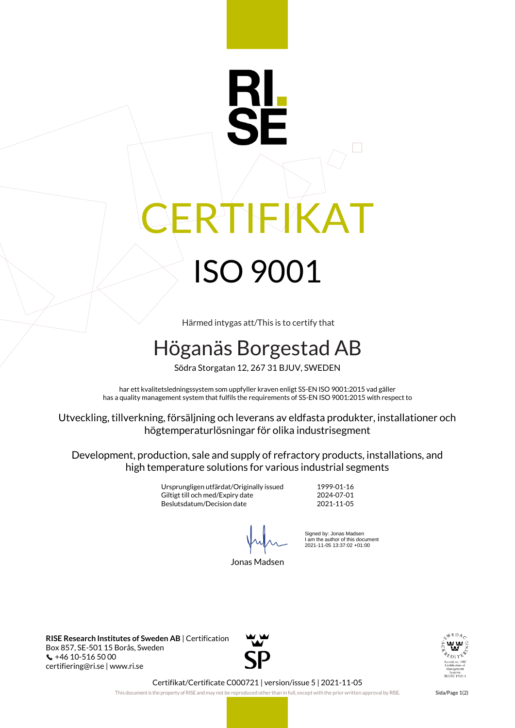# **IFIKAT** ISO 9001

Härmed intygas att/This is to certify that

# Höganäs Borgestad AB

Södra Storgatan 12, 267 31 BJUV, SWEDEN

har ett kvalitetsledningssystem som uppfyller kraven enligt SS-EN ISO 9001:2015 vad gäller has a quality management system that fulfils the requirements of SS-EN ISO 9001:2015 with respect to

Utveckling, tillverkning, försäljning och leverans av eldfasta produkter, installationer och högtemperaturlösningar för olika industrisegment

Development, production, sale and supply of refractory products, installations, and high temperature solutions for various industrial segments

> Ursprungligen utfärdat/Originally issued 1999-01-16 Giltigt till och med/Expiry date Beslutsdatum/Decision date 2021-11-05

 $\frac{1}{2}$   $\frac{1}{2}$   $\frac{1}{2}$ 

Jonas Madsen

Signed by: Jonas Madsen I am the author of this document 2021-11-05 13:37:02 +01:00

**RISE Research Institutes of Sweden AB** | Certification Box 857, SE-501 15 Borås, Sweden +46 10-516 50 00 certifiering@ri.se | www.ri.se





Certifikat/Certificate C000721 | version/issue 5 | 2021-11-05

This document is the property of RISE and may not be reproduced other than in full, except with the prior written approval by RISE. Sida/Page 1(2)